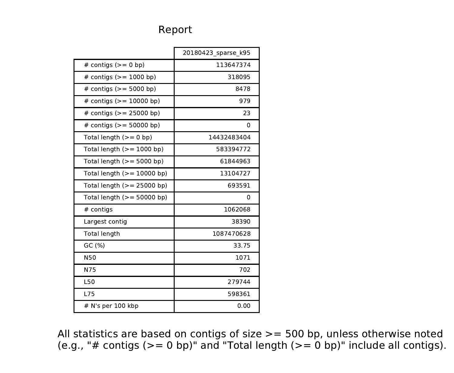## Report

|                              | 20180423 sparse k95 |
|------------------------------|---------------------|
| # contigs $(>= 0$ bp)        | 113647374           |
| # contigs ( $> = 1000$ bp)   | 318095              |
| # contigs $(>= 5000$ bp)     | 8478                |
| # contigs $(>= 10000$ bp)    | 979                 |
| # contigs $(>= 25000$ bp)    | 23                  |
| # contigs ( $> = 50000$ bp)  | 0                   |
| Total length $(>= 0$ bp)     | 14432483404         |
| Total length $(>= 1000$ bp)  | 583394772           |
| Total length $(>= 5000$ bp)  | 61844963            |
| Total length $(>= 10000$ bp) | 13104727            |
| Total length $(>= 25000$ bp) | 693591              |
| Total length $(>= 50000$ bp) | 0                   |
| # contigs                    | 1062068             |
| Largest contig               | 38390               |
| Total length                 | 1087470628          |
| GC (%)                       | 33.75               |
| N50                          | 1071                |
| N75                          | 702                 |
| L50                          | 279744              |
| <b>L75</b>                   | 598361              |
| $#$ N's per 100 kbp          | 0.00                |

All statistics are based on contigs of size >= 500 bp, unless otherwise noted (e.g., "# contigs (>= 0 bp)" and "Total length (>= 0 bp)" include all contigs).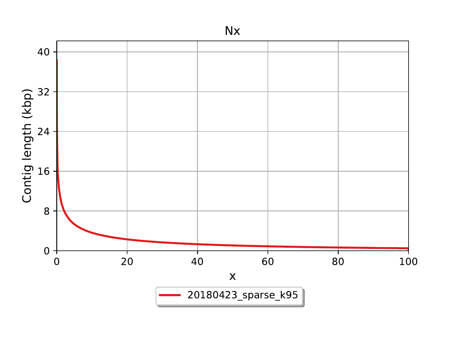

Nx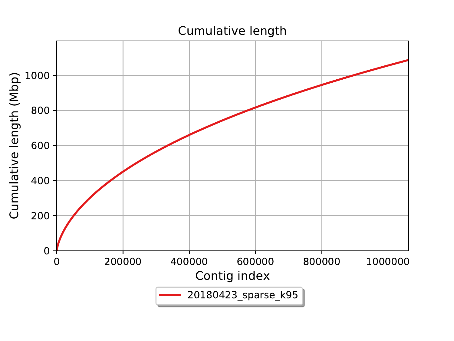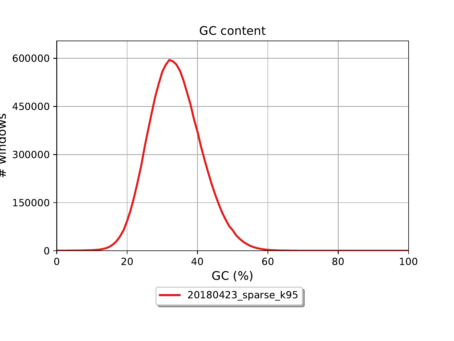